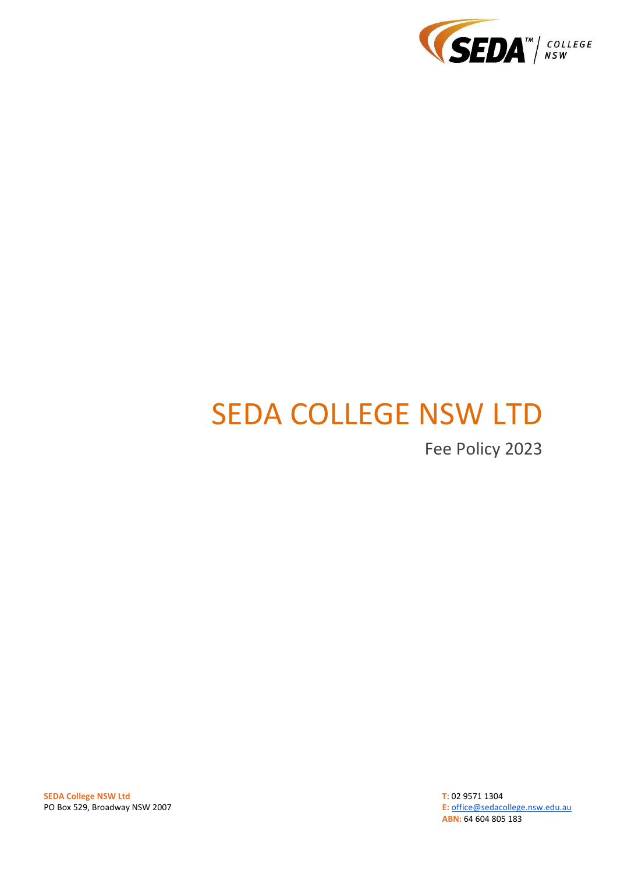

# SEDA COLLEGE NSW LTD

Fee Policy 2023

**SEDA College NSW Ltd** PO Box 529, Broadway NSW 2007 **T:** 02 9571 1304 **E:** [office@sedacollege.nsw.edu.au](mailto:office@sedacollege.nsw.edu.au) **ABN:** 64 604 805 183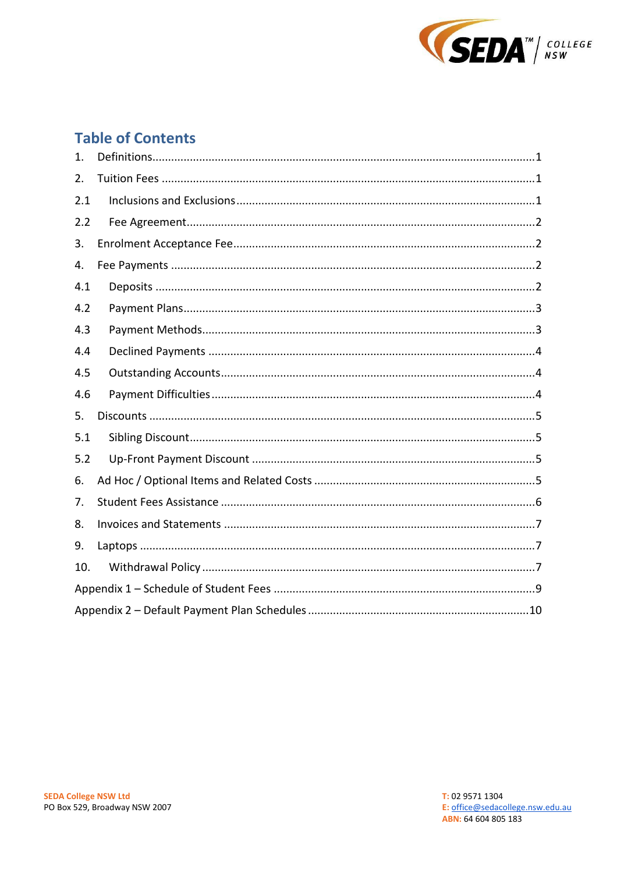

# **Table of Contents**

| 1.  |  |
|-----|--|
| 2.  |  |
| 2.1 |  |
| 2.2 |  |
| 3.  |  |
| 4.  |  |
| 4.1 |  |
| 4.2 |  |
| 4.3 |  |
| 4.4 |  |
| 4.5 |  |
| 4.6 |  |
| 5.  |  |
| 5.1 |  |
| 5.2 |  |
| 6.  |  |
| 7.  |  |
| 8.  |  |
| 9.  |  |
| 10. |  |
|     |  |
|     |  |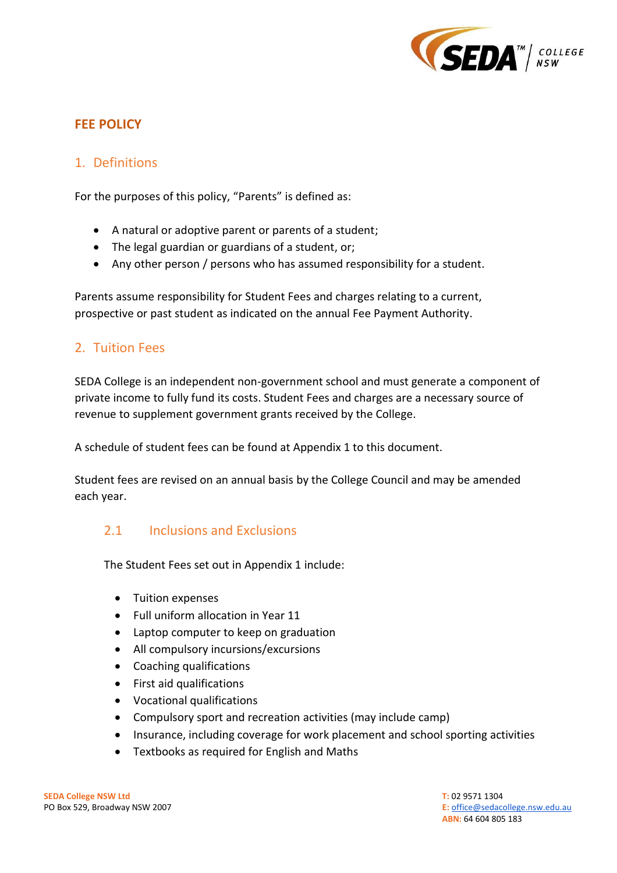

## **FEE POLICY**

## <span id="page-2-0"></span>1. Definitions

For the purposes of this policy, "Parents" is defined as:

- A natural or adoptive parent or parents of a student;
- The legal guardian or guardians of a student, or;
- Any other person / persons who has assumed responsibility for a student.

Parents assume responsibility for Student Fees and charges relating to a current, prospective or past student as indicated on the annual Fee Payment Authority.

## <span id="page-2-1"></span>2. Tuition Fees

SEDA College is an independent non-government school and must generate a component of private income to fully fund its costs. Student Fees and charges are a necessary source of revenue to supplement government grants received by the College.

A schedule of student fees can be found at Appendix 1 to this document.

Student fees are revised on an annual basis by the College Council and may be amended each year.

## <span id="page-2-2"></span>2.1 Inclusions and Exclusions

The Student Fees set out in Appendix 1 include:

- Tuition expenses
- Full uniform allocation in Year 11
- Laptop computer to keep on graduation
- All compulsory incursions/excursions
- Coaching qualifications
- First aid qualifications
- Vocational qualifications
- Compulsory sport and recreation activities (may include camp)
- Insurance, including coverage for work placement and school sporting activities
- Textbooks as required for English and Maths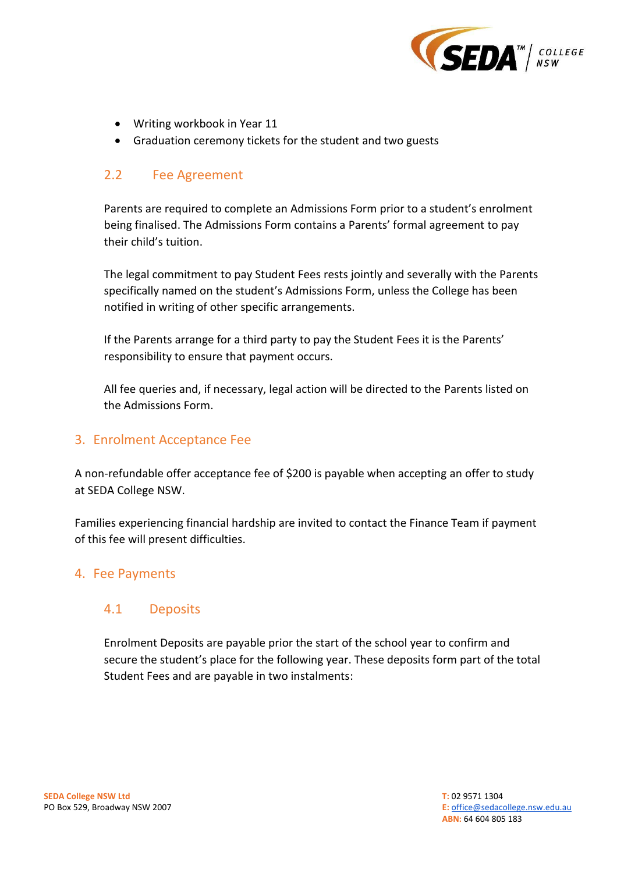

- Writing workbook in Year 11
- Graduation ceremony tickets for the student and two guests

## <span id="page-3-0"></span>2.2 Fee Agreement

Parents are required to complete an Admissions Form prior to a student's enrolment being finalised. The Admissions Form contains a Parents' formal agreement to pay their child's tuition.

The legal commitment to pay Student Fees rests jointly and severally with the Parents specifically named on the student's Admissions Form, unless the College has been notified in writing of other specific arrangements.

If the Parents arrange for a third party to pay the Student Fees it is the Parents' responsibility to ensure that payment occurs.

All fee queries and, if necessary, legal action will be directed to the Parents listed on the Admissions Form.

#### <span id="page-3-1"></span>3. Enrolment Acceptance Fee

A non-refundable offer acceptance fee of \$200 is payable when accepting an offer to study at SEDA College NSW.

Families experiencing financial hardship are invited to contact the Finance Team if payment of this fee will present difficulties.

## <span id="page-3-2"></span>4. Fee Payments

#### <span id="page-3-3"></span>4.1 Deposits

Enrolment Deposits are payable prior the start of the school year to confirm and secure the student's place for the following year. These deposits form part of the total Student Fees and are payable in two instalments: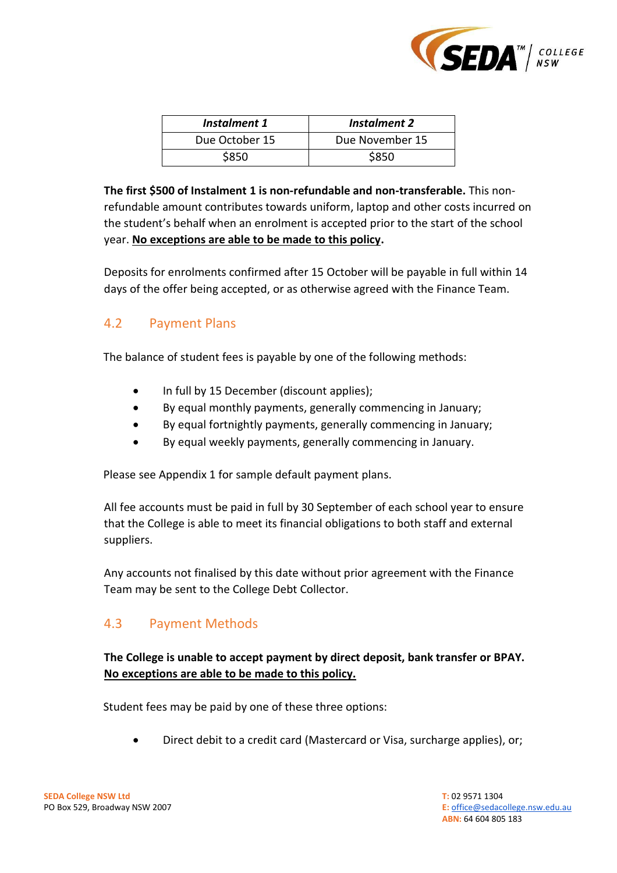

| Instalment 1   | Instalment 2    |
|----------------|-----------------|
| Due October 15 | Due November 15 |
| \$850          | \$850           |

**The first \$500 of Instalment 1 is non-refundable and non-transferable.** This nonrefundable amount contributes towards uniform, laptop and other costs incurred on the student's behalf when an enrolment is accepted prior to the start of the school year. **No exceptions are able to be made to this policy.**

Deposits for enrolments confirmed after 15 October will be payable in full within 14 days of the offer being accepted, or as otherwise agreed with the Finance Team.

## <span id="page-4-0"></span>4.2 Payment Plans

The balance of student fees is payable by one of the following methods:

- In full by 15 December (discount applies);
- By equal monthly payments, generally commencing in January;
- By equal fortnightly payments, generally commencing in January;
- By equal weekly payments, generally commencing in January.

Please see Appendix 1 for sample default payment plans.

All fee accounts must be paid in full by 30 September of each school year to ensure that the College is able to meet its financial obligations to both staff and external suppliers.

Any accounts not finalised by this date without prior agreement with the Finance Team may be sent to the College Debt Collector.

## <span id="page-4-1"></span>4.3 Payment Methods

#### **The College is unable to accept payment by direct deposit, bank transfer or BPAY. No exceptions are able to be made to this policy.**

Student fees may be paid by one of these three options:

• Direct debit to a credit card (Mastercard or Visa, surcharge applies), or;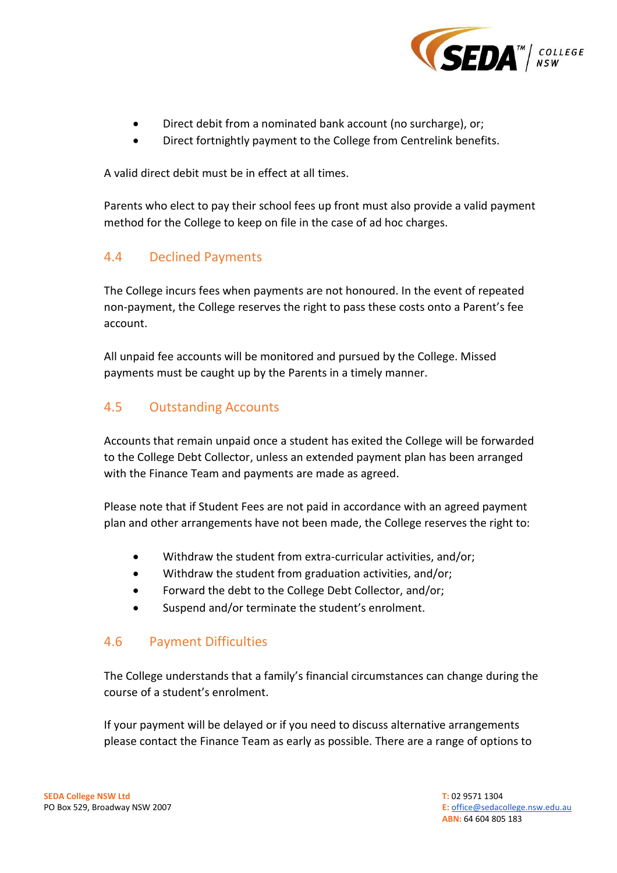

- Direct debit from a nominated bank account (no surcharge), or;
- Direct fortnightly payment to the College from Centrelink benefits.

A valid direct debit must be in effect at all times.

Parents who elect to pay their school fees up front must also provide a valid payment method for the College to keep on file in the case of ad hoc charges.

## <span id="page-5-0"></span>4.4 Declined Payments

The College incurs fees when payments are not honoured. In the event of repeated non-payment, the College reserves the right to pass these costs onto a Parent's fee account.

All unpaid fee accounts will be monitored and pursued by the College. Missed payments must be caught up by the Parents in a timely manner.

## <span id="page-5-1"></span>4.5 Outstanding Accounts

Accounts that remain unpaid once a student has exited the College will be forwarded to the College Debt Collector, unless an extended payment plan has been arranged with the Finance Team and payments are made as agreed.

Please note that if Student Fees are not paid in accordance with an agreed payment plan and other arrangements have not been made, the College reserves the right to:

- Withdraw the student from extra-curricular activities, and/or;
- Withdraw the student from graduation activities, and/or;
- Forward the debt to the College Debt Collector, and/or;
- Suspend and/or terminate the student's enrolment.

## <span id="page-5-2"></span>4.6 Payment Difficulties

The College understands that a family's financial circumstances can change during the course of a student's enrolment.

If your payment will be delayed or if you need to discuss alternative arrangements please contact the Finance Team as early as possible. There are a range of options to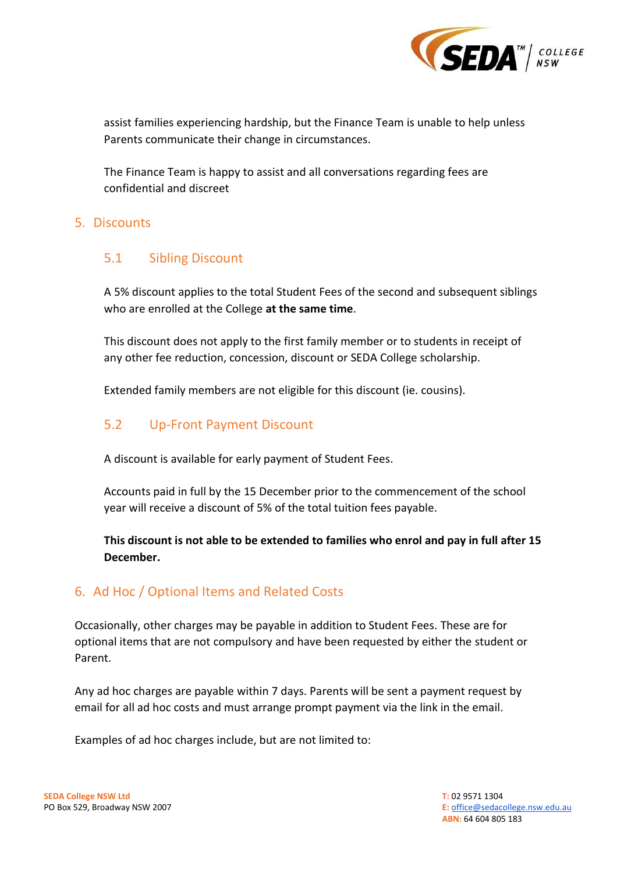

assist families experiencing hardship, but the Finance Team is unable to help unless Parents communicate their change in circumstances.

The Finance Team is happy to assist and all conversations regarding fees are confidential and discreet

## <span id="page-6-0"></span>5. Discounts

## <span id="page-6-1"></span>5.1 Sibling Discount

A 5% discount applies to the total Student Fees of the second and subsequent siblings who are enrolled at the College **at the same time**.

This discount does not apply to the first family member or to students in receipt of any other fee reduction, concession, discount or SEDA College scholarship.

Extended family members are not eligible for this discount (ie. cousins).

## <span id="page-6-2"></span>5.2 Up-Front Payment Discount

A discount is available for early payment of Student Fees.

Accounts paid in full by the 15 December prior to the commencement of the school year will receive a discount of 5% of the total tuition fees payable.

**This discount is not able to be extended to families who enrol and pay in full after 15 December.**

## <span id="page-6-3"></span>6. Ad Hoc / Optional Items and Related Costs

Occasionally, other charges may be payable in addition to Student Fees. These are for optional items that are not compulsory and have been requested by either the student or Parent.

Any ad hoc charges are payable within 7 days. Parents will be sent a payment request by email for all ad hoc costs and must arrange prompt payment via the link in the email.

Examples of ad hoc charges include, but are not limited to: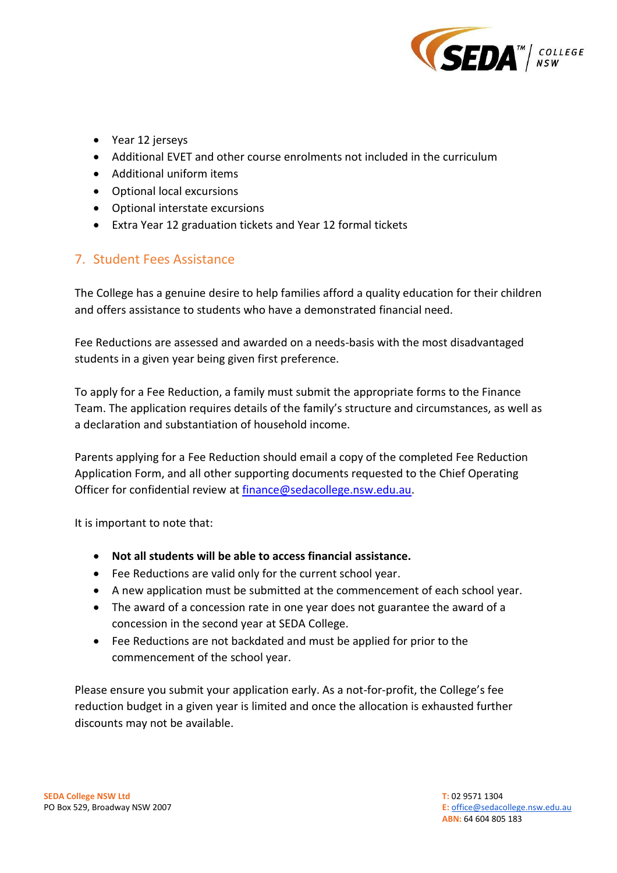

- Year 12 jerseys
- Additional EVET and other course enrolments not included in the curriculum
- Additional uniform items
- Optional local excursions
- Optional interstate excursions
- Extra Year 12 graduation tickets and Year 12 formal tickets

## <span id="page-7-0"></span>7. Student Fees Assistance

The College has a genuine desire to help families afford a quality education for their children and offers assistance to students who have a demonstrated financial need.

Fee Reductions are assessed and awarded on a needs-basis with the most disadvantaged students in a given year being given first preference.

To apply for a Fee Reduction, a family must submit the appropriate forms to the Finance Team. The application requires details of the family's structure and circumstances, as well as a declaration and substantiation of household income.

Parents applying for a Fee Reduction should email a copy of the completed Fee Reduction Application Form, and all other supporting documents requested to the Chief Operating Officer for confidential review at [finance@sedacollege.nsw.edu.au.](mailto:finance@sedacollege.nsw.edu.au)

It is important to note that:

- **Not all students will be able to access financial assistance.**
- Fee Reductions are valid only for the current school year.
- A new application must be submitted at the commencement of each school year.
- The award of a concession rate in one year does not guarantee the award of a concession in the second year at SEDA College.
- Fee Reductions are not backdated and must be applied for prior to the commencement of the school year.

Please ensure you submit your application early. As a not-for-profit, the College's fee reduction budget in a given year is limited and once the allocation is exhausted further discounts may not be available.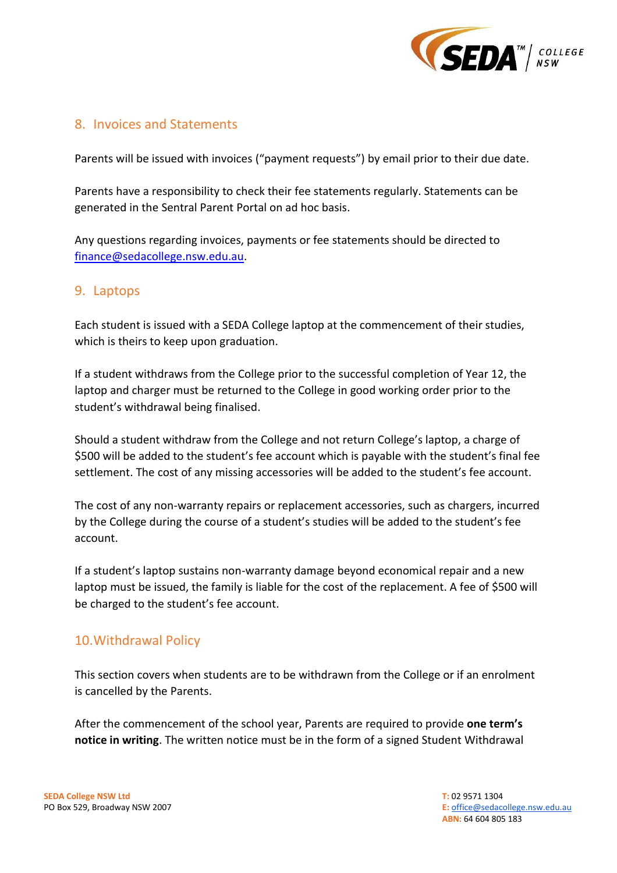

## <span id="page-8-0"></span>8. Invoices and Statements

Parents will be issued with invoices ("payment requests") by email prior to their due date.

Parents have a responsibility to check their fee statements regularly. Statements can be generated in the Sentral Parent Portal on ad hoc basis.

Any questions regarding invoices, payments or fee statements should be directed to [finance@sedacollege.nsw.edu.au.](mailto:finance@sedacollege.nsw.edu.au)

## <span id="page-8-1"></span>9. Laptops

Each student is issued with a SEDA College laptop at the commencement of their studies, which is theirs to keep upon graduation.

If a student withdraws from the College prior to the successful completion of Year 12, the laptop and charger must be returned to the College in good working order prior to the student's withdrawal being finalised.

Should a student withdraw from the College and not return College's laptop, a charge of \$500 will be added to the student's fee account which is payable with the student's final fee settlement. The cost of any missing accessories will be added to the student's fee account.

The cost of any non-warranty repairs or replacement accessories, such as chargers, incurred by the College during the course of a student's studies will be added to the student's fee account.

If a student's laptop sustains non-warranty damage beyond economical repair and a new laptop must be issued, the family is liable for the cost of the replacement. A fee of \$500 will be charged to the student's fee account.

## <span id="page-8-2"></span>10.Withdrawal Policy

This section covers when students are to be withdrawn from the College or if an enrolment is cancelled by the Parents.

After the commencement of the school year, Parents are required to provide **one term's notice in writing**. The written notice must be in the form of a signed Student Withdrawal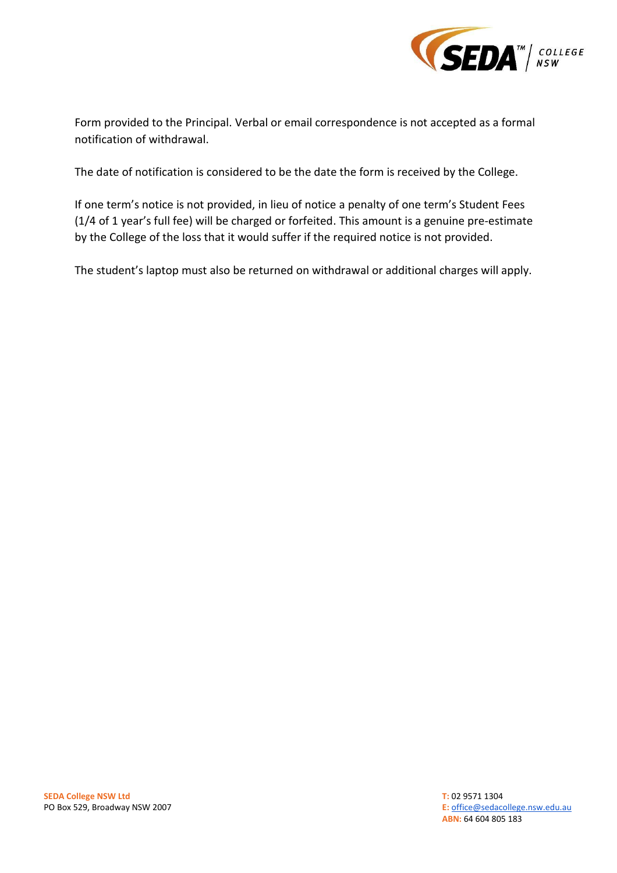

Form provided to the Principal. Verbal or email correspondence is not accepted as a formal notification of withdrawal.

The date of notification is considered to be the date the form is received by the College.

If one term's notice is not provided, in lieu of notice a penalty of one term's Student Fees (1/4 of 1 year's full fee) will be charged or forfeited. This amount is a genuine pre-estimate by the College of the loss that it would suffer if the required notice is not provided.

The student's laptop must also be returned on withdrawal or additional charges will apply.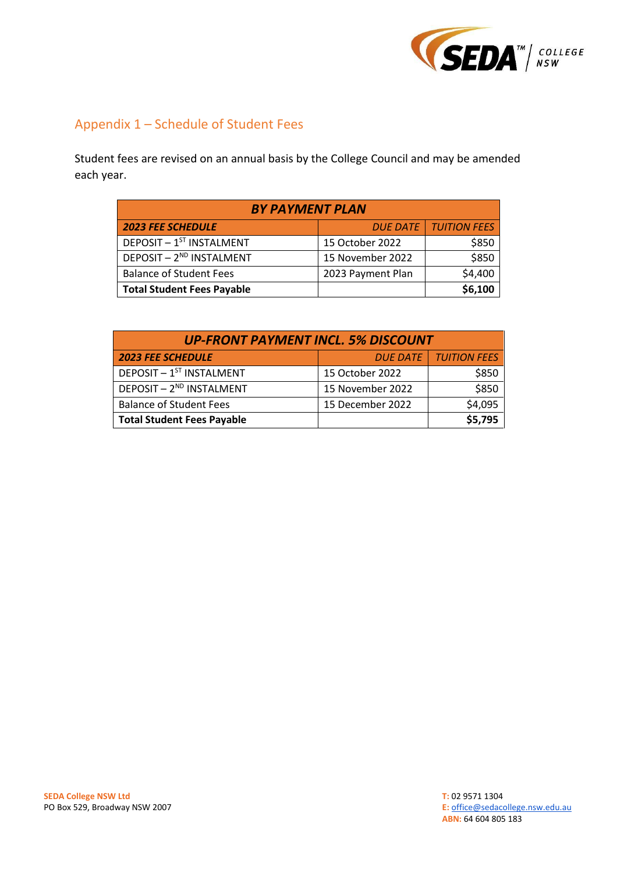

# <span id="page-10-0"></span>Appendix 1 – Schedule of Student Fees

Student fees are revised on an annual basis by the College Council and may be amended each year.

| <b>BY PAYMENT PLAN</b>               |                   |                                |  |  |
|--------------------------------------|-------------------|--------------------------------|--|--|
| <b>2023 FEE SCHEDULE</b>             |                   | <b>DUE DATE   TUITION FEES</b> |  |  |
| DEPOSIT - 1ST INSTALMENT             | 15 October 2022   | \$850                          |  |  |
| DEPOSIT - 2 <sup>ND</sup> INSTALMENT | 15 November 2022  | \$850                          |  |  |
| <b>Balance of Student Fees</b>       | 2023 Payment Plan | \$4,400                        |  |  |
| <b>Total Student Fees Payable</b>    |                   | \$6,100                        |  |  |

| <b>UP-FRONT PAYMENT INCL. 5% DISCOUNT</b>    |                  |                                |  |  |
|----------------------------------------------|------------------|--------------------------------|--|--|
| <b>2023 FEE SCHEDULE</b>                     |                  | <b>DUE DATE   TUITION FEES</b> |  |  |
| DEPOSIT - 1ST INSTALMENT                     | 15 October 2022  | \$850                          |  |  |
| DEPOSIT - 2ND INSTALMENT                     | 15 November 2022 | \$850                          |  |  |
| <b>Balance of Student Fees</b>               | 15 December 2022 | \$4,095                        |  |  |
| \$5,795<br><b>Total Student Fees Payable</b> |                  |                                |  |  |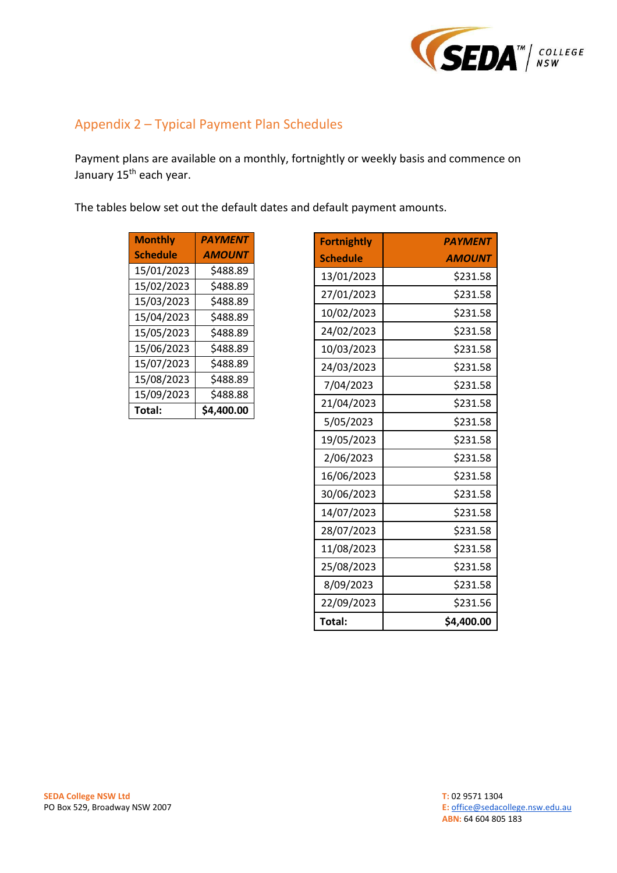

## <span id="page-11-0"></span>Appendix 2 – Typical Payment Plan Schedules

Payment plans are available on a monthly, fortnightly or weekly basis and commence on January 15<sup>th</sup> each year.

The tables below set out the default dates and default payment amounts.

| <b>Monthly</b>  | <b>PAYMENT</b> |
|-----------------|----------------|
| <b>Schedule</b> | <b>AMOUNT</b>  |
| 15/01/2023      | \$488.89       |
| 15/02/2023      | \$488.89       |
| 15/03/2023      | \$488.89       |
| 15/04/2023      | \$488.89       |
| 15/05/2023      | \$488.89       |
| 15/06/2023      | \$488.89       |
| 15/07/2023      | \$488.89       |
| 15/08/2023      | \$488.89       |
| 15/09/2023      | \$488.88       |
| Total:          | \$4,400.00     |

| <b>Fortnightly</b> | <b>PAYMENT</b> |
|--------------------|----------------|
| <b>Schedule</b>    | <b>AMOUNT</b>  |
| 13/01/2023         | \$231.58       |
| 27/01/2023         | \$231.58       |
| 10/02/2023         | \$231.58       |
| 24/02/2023         | \$231.58       |
| 10/03/2023         | \$231.58       |
| 24/03/2023         | \$231.58       |
| 7/04/2023          | \$231.58       |
| 21/04/2023         | \$231.58       |
| 5/05/2023          | \$231.58       |
| 19/05/2023         | \$231.58       |
| 2/06/2023          | \$231.58       |
| 16/06/2023         | \$231.58       |
| 30/06/2023         | \$231.58       |
| 14/07/2023         | \$231.58       |
| 28/07/2023         | \$231.58       |
| 11/08/2023         | \$231.58       |
| 25/08/2023         | \$231.58       |
| 8/09/2023          | \$231.58       |
| 22/09/2023         | \$231.56       |
| Total:             | \$4,400.00     |